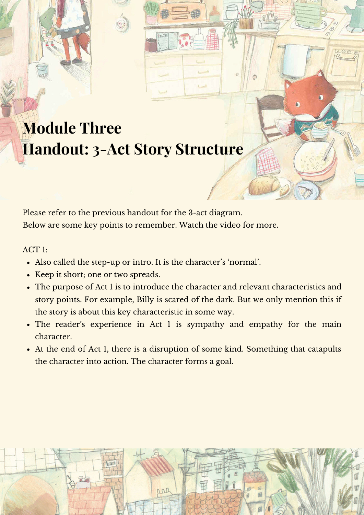## **Module Three Handout: 3-Act Story Structure**

Please refer to the previous handout for the 3-act diagram. Below are some key points to remember. Watch the video for more.

## ACT 1:

- Also called the step-up or intro. It is the character's 'normal'.
- Keep it short; one or two spreads.
- The purpose of Act 1 is to introduce the character and relevant characteristics and story points. For example, Billy is scared of the dark. But we only mention this if the story is about this key characteristic in some way.
- The reader's experience in Act 1 is sympathy and empathy for the main character.
- At the end of Act 1, there is a disruption of some kind. Something that catapults the character into action. The character forms a goal.